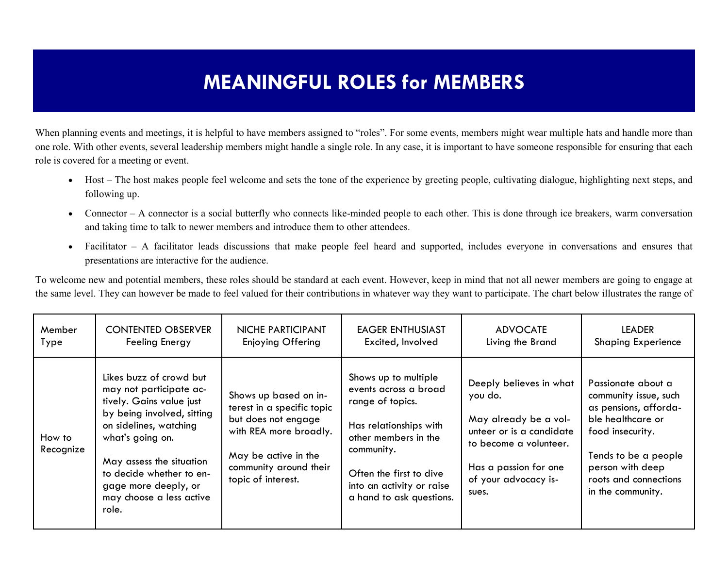## **MEANINGFUL ROLES for MEMBERS**

When planning events and meetings, it is helpful to have members assigned to "roles". For some events, members might wear multiple hats and handle more than one role. With other events, several leadership members might handle a single role. In any case, it is important to have someone responsible for ensuring that each role is covered for a meeting or event.

- Host The host makes people feel welcome and sets the tone of the experience by greeting people, cultivating dialogue, highlighting next steps, and following up.
- Connector A connector is a social butterfly who connects like-minded people to each other. This is done through ice breakers, warm conversation and taking time to talk to newer members and introduce them to other attendees.
- Facilitator A facilitator leads discussions that make people feel heard and supported, includes everyone in conversations and ensures that presentations are interactive for the audience.

To welcome new and potential members, these roles should be standard at each event. However, keep in mind that not all newer members are going to engage at the same level. They can however be made to feel valued for their contributions in whatever way they want to participate. The chart below illustrates the range of

| Member              | <b>CONTENTED OBSERVER</b>                                                                                                                                                                                                                                                       | NICHE PARTICIPANT                                                                                                                                                            | EAGER ENTHUSIAST                                                                                                                                                                                                      | <b>ADVOCATE</b>                                                                                                                                                             | <b>LEADER</b>                                                                                                                                                                                           |
|---------------------|---------------------------------------------------------------------------------------------------------------------------------------------------------------------------------------------------------------------------------------------------------------------------------|------------------------------------------------------------------------------------------------------------------------------------------------------------------------------|-----------------------------------------------------------------------------------------------------------------------------------------------------------------------------------------------------------------------|-----------------------------------------------------------------------------------------------------------------------------------------------------------------------------|---------------------------------------------------------------------------------------------------------------------------------------------------------------------------------------------------------|
| Type                | Feeling Energy                                                                                                                                                                                                                                                                  | Enjoying Offering                                                                                                                                                            | Excited, Involved                                                                                                                                                                                                     | Living the Brand                                                                                                                                                            | <b>Shaping Experience</b>                                                                                                                                                                               |
| How to<br>Recognize | Likes buzz of crowd but<br>may not participate ac-<br>tively. Gains value just<br>by being involved, sitting<br>on sidelines, watching<br>what's going on.<br>May assess the situation<br>to decide whether to en-<br>gage more deeply, or<br>may choose a less active<br>role. | Shows up based on in-<br>terest in a specific topic<br>but does not engage<br>with REA more broadly.<br>May be active in the<br>community around their<br>topic of interest. | Shows up to multiple<br>events across a broad<br>range of topics.<br>Has relationships with<br>other members in the<br>community.<br>Often the first to dive<br>into an activity or raise<br>a hand to ask questions. | Deeply believes in what<br>you do.<br>May already be a vol-<br>unteer or is a candidate<br>to become a volunteer.<br>Has a passion for one<br>of your advocacy is-<br>sues. | Passionate about a<br>community issue, such<br>as pensions, afforda-<br>ble healthcare or<br>food insecurity.<br>Tends to be a people<br>person with deep<br>roots and connections<br>in the community. |